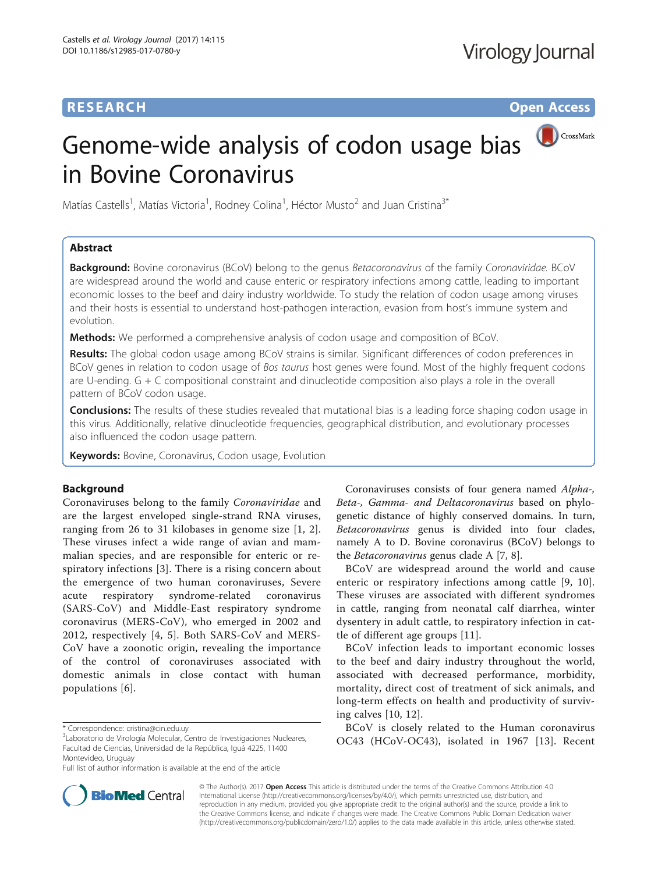# **RESEARCH RESEARCH** *CHECKER CHECKER CHECKER CHECKER CHECKER CHECKER CHECKER CHECKER CHECKER CHECKER CHECKER*

# CrossMark Genome-wide analysis of codon usage bias in Bovine Coronavirus

Matías Castells<sup>1</sup>, Matías Victoria<sup>1</sup>, Rodney Colina<sup>1</sup>, Héctor Musto<sup>2</sup> and Juan Cristina<sup>3\*</sup>

# Abstract

Background: Bovine coronavirus (BCoV) belong to the genus Betacoronavirus of the family Coronaviridae. BCoV are widespread around the world and cause enteric or respiratory infections among cattle, leading to important economic losses to the beef and dairy industry worldwide. To study the relation of codon usage among viruses and their hosts is essential to understand host-pathogen interaction, evasion from host's immune system and evolution.

Methods: We performed a comprehensive analysis of codon usage and composition of BCoV.

Results: The global codon usage among BCoV strains is similar. Significant differences of codon preferences in BCoV genes in relation to codon usage of Bos taurus host genes were found. Most of the highly frequent codons are U-ending. G + C compositional constraint and dinucleotide composition also plays a role in the overall pattern of BCoV codon usage.

**Conclusions:** The results of these studies revealed that mutational bias is a leading force shaping codon usage in this virus. Additionally, relative dinucleotide frequencies, geographical distribution, and evolutionary processes also influenced the codon usage pattern.

Keywords: Bovine, Coronavirus, Codon usage, Evolution

# Background

Coronaviruses belong to the family Coronaviridae and are the largest enveloped single-strand RNA viruses, ranging from 26 to 31 kilobases in genome size [[1](#page-5-0), [2](#page-5-0)]. These viruses infect a wide range of avian and mammalian species, and are responsible for enteric or respiratory infections [[3\]](#page-5-0). There is a rising concern about the emergence of two human coronaviruses, Severe acute respiratory syndrome-related coronavirus (SARS-CoV) and Middle-East respiratory syndrome coronavirus (MERS-CoV), who emerged in 2002 and 2012, respectively [[4](#page-5-0), [5\]](#page-5-0). Both SARS-CoV and MERS-CoV have a zoonotic origin, revealing the importance of the control of coronaviruses associated with domestic animals in close contact with human populations [\[6\]](#page-5-0).

Coronaviruses consists of four genera named Alpha-, Beta-, Gamma- and Deltacoronavirus based on phylogenetic distance of highly conserved domains. In turn, Betacoronavirus genus is divided into four clades, namely A to D. Bovine coronavirus (BCoV) belongs to the Betacoronavirus genus clade A [[7, 8\]](#page-6-0).

BCoV are widespread around the world and cause enteric or respiratory infections among cattle [[9](#page-6-0), [10](#page-6-0)]. These viruses are associated with different syndromes in cattle, ranging from neonatal calf diarrhea, winter dysentery in adult cattle, to respiratory infection in cattle of different age groups [\[11](#page-6-0)].

BCoV infection leads to important economic losses to the beef and dairy industry throughout the world, associated with decreased performance, morbidity, mortality, direct cost of treatment of sick animals, and long-term effects on health and productivity of surviving calves [[10](#page-6-0), [12](#page-6-0)].

BCoV is closely related to the Human coronavirus OC43 (HCoV-OC43), isolated in 1967 [[13](#page-6-0)]. Recent



© The Author(s). 2017 **Open Access** This article is distributed under the terms of the Creative Commons Attribution 4.0 International License [\(http://creativecommons.org/licenses/by/4.0/](http://creativecommons.org/licenses/by/4.0/)), which permits unrestricted use, distribution, and reproduction in any medium, provided you give appropriate credit to the original author(s) and the source, provide a link to the Creative Commons license, and indicate if changes were made. The Creative Commons Public Domain Dedication waiver [\(http://creativecommons.org/publicdomain/zero/1.0/](http://creativecommons.org/publicdomain/zero/1.0/)) applies to the data made available in this article, unless otherwise stated.

<sup>\*</sup> Correspondence: [cristina@cin.edu.uy](mailto:cristina@cin.edu.uy) <sup>3</sup>

<sup>&</sup>lt;sup>3</sup> Laboratorio de Virología Molecular, Centro de Investigaciones Nucleares, Facultad de Ciencias, Universidad de la República, Iguá 4225, 11400 Montevideo, Uruguay

Full list of author information is available at the end of the article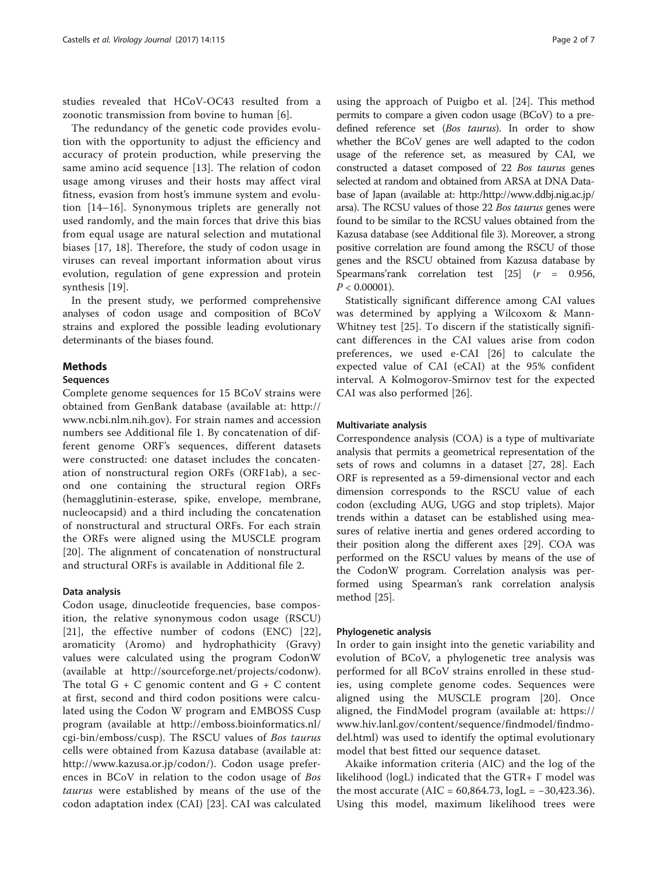studies revealed that HCoV-OC43 resulted from a zoonotic transmission from bovine to human [[6](#page-5-0)].

The redundancy of the genetic code provides evolution with the opportunity to adjust the efficiency and accuracy of protein production, while preserving the same amino acid sequence [[13\]](#page-6-0). The relation of codon usage among viruses and their hosts may affect viral fitness, evasion from host's immune system and evolution [\[14](#page-6-0)–[16\]](#page-6-0). Synonymous triplets are generally not used randomly, and the main forces that drive this bias from equal usage are natural selection and mutational biases [[17, 18\]](#page-6-0). Therefore, the study of codon usage in viruses can reveal important information about virus evolution, regulation of gene expression and protein synthesis [[19](#page-6-0)].

In the present study, we performed comprehensive analyses of codon usage and composition of BCoV strains and explored the possible leading evolutionary determinants of the biases found.

## Methods

## Sequences

Complete genome sequences for 15 BCoV strains were obtained from GenBank database (available at: [http://](http://www.ncbi.nlm.nih.gov) [www.ncbi.nlm.nih.gov](http://www.ncbi.nlm.nih.gov)). For strain names and accession numbers see Additional file [1](#page-5-0). By concatenation of different genome ORF's sequences, different datasets were constructed: one dataset includes the concatenation of nonstructural region ORFs (ORF1ab), a second one containing the structural region ORFs (hemagglutinin-esterase, spike, envelope, membrane, nucleocapsid) and a third including the concatenation of nonstructural and structural ORFs. For each strain the ORFs were aligned using the MUSCLE program [[20](#page-6-0)]. The alignment of concatenation of nonstructural and structural ORFs is available in Additional file [2](#page-5-0).

## Data analysis

Codon usage, dinucleotide frequencies, base composition, the relative synonymous codon usage (RSCU) [[21](#page-6-0)], the effective number of codons (ENC) [[22](#page-6-0)], aromaticity (Aromo) and hydrophathicity (Gravy) values were calculated using the program CodonW (available at<http://sourceforge.net/projects/codonw>). The total  $G + C$  genomic content and  $G + C$  content at first, second and third codon positions were calculated using the Codon W program and EMBOSS Cusp program (available at [http://emboss.bioinformatics.nl/](http://emboss.bioinformatics.nl/cgi-bin/emboss/cusp) [cgi-bin/emboss/cusp](http://emboss.bioinformatics.nl/cgi-bin/emboss/cusp)). The RSCU values of Bos taurus cells were obtained from Kazusa database (available at: [http://www.kazusa.or.jp/codon/](http://www.kazusa.or.jp/codon)). Codon usage preferences in BCoV in relation to the codon usage of Bos taurus were established by means of the use of the codon adaptation index (CAI) [\[23](#page-6-0)]. CAI was calculated

using the approach of Puigbo et al. [[24](#page-6-0)]. This method permits to compare a given codon usage (BCoV) to a predefined reference set (Bos taurus). In order to show whether the BCoV genes are well adapted to the codon usage of the reference set, as measured by CAI, we constructed a dataset composed of 22 Bos taurus genes selected at random and obtained from ARSA at DNA Database of Japan (available at: http:[/http://www.ddbj.nig.ac.jp/](http://www.ddbj.nig.ac.jp/arsa) [arsa](http://www.ddbj.nig.ac.jp/arsa)). The RCSU values of those 22 Bos taurus genes were found to be similar to the RCSU values obtained from the Kazusa database (see Additional file [3](#page-5-0)). Moreover, a strong positive correlation are found among the RSCU of those genes and the RSCU obtained from Kazusa database by Spearmans' rank correlation test  $[25]$  $[25]$  $[25]$   $(r = 0.956,$  $P < 0.00001$ ).

Statistically significant difference among CAI values was determined by applying a Wilcoxom & Mann-Whitney test [[25\]](#page-6-0). To discern if the statistically significant differences in the CAI values arise from codon preferences, we used e-CAI [[26\]](#page-6-0) to calculate the expected value of CAI (eCAI) at the 95% confident interval. A Kolmogorov-Smirnov test for the expected CAI was also performed [\[26](#page-6-0)].

## Multivariate analysis

Correspondence analysis (COA) is a type of multivariate analysis that permits a geometrical representation of the sets of rows and columns in a dataset [[27](#page-6-0), [28](#page-6-0)]. Each ORF is represented as a 59-dimensional vector and each dimension corresponds to the RSCU value of each codon (excluding AUG, UGG and stop triplets). Major trends within a dataset can be established using measures of relative inertia and genes ordered according to their position along the different axes [\[29\]](#page-6-0). COA was performed on the RSCU values by means of the use of the CodonW program. Correlation analysis was performed using Spearman's rank correlation analysis method [\[25](#page-6-0)].

## Phylogenetic analysis

In order to gain insight into the genetic variability and evolution of BCoV, a phylogenetic tree analysis was performed for all BCoV strains enrolled in these studies, using complete genome codes. Sequences were aligned using the MUSCLE program [[20](#page-6-0)]. Once aligned, the FindModel program (available at: [https://](https://www.hiv.lanl.gov/content/sequence/findmodel/findmodel.html) [www.hiv.lanl.gov/content/sequence/findmodel/findmo](https://www.hiv.lanl.gov/content/sequence/findmodel/findmodel.html)[del.html](https://www.hiv.lanl.gov/content/sequence/findmodel/findmodel.html)) was used to identify the optimal evolutionary model that best fitted our sequence dataset.

Akaike information criteria (AIC) and the log of the likelihood (logL) indicated that the GTR+ Γ model was the most accurate (AIC =  $60,864.73$ , logL =  $-30,423.36$ ). Using this model, maximum likelihood trees were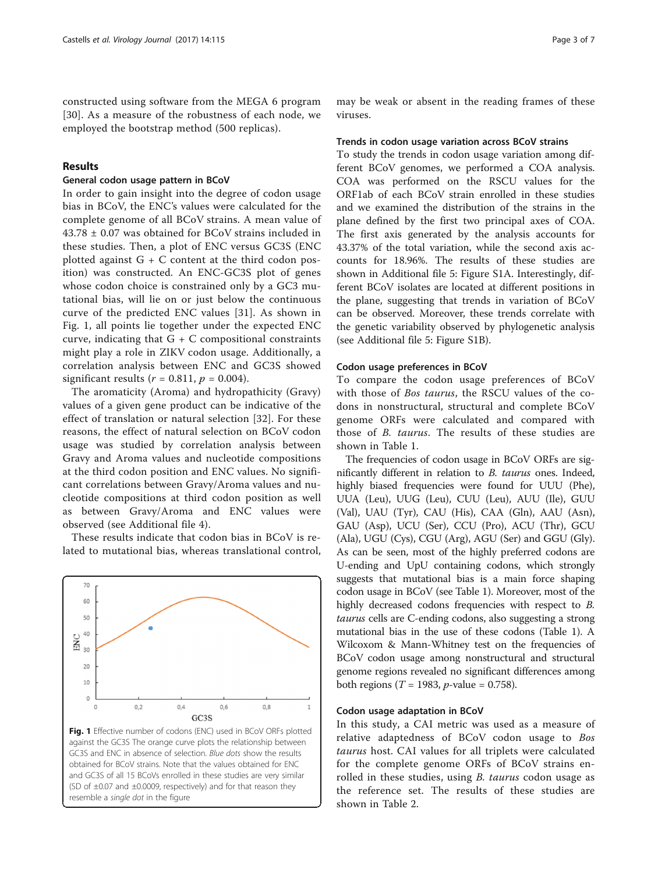<span id="page-2-0"></span>constructed using software from the MEGA 6 program [[30](#page-6-0)]. As a measure of the robustness of each node, we employed the bootstrap method (500 replicas).

## Results

## General codon usage pattern in BCoV

In order to gain insight into the degree of codon usage bias in BCoV, the ENC's values were calculated for the complete genome of all BCoV strains. A mean value of 43.78 ± 0.07 was obtained for BCoV strains included in these studies. Then, a plot of ENC versus GC3S (ENC plotted against  $G + C$  content at the third codon position) was constructed. An ENC-GC3S plot of genes whose codon choice is constrained only by a GC3 mutational bias, will lie on or just below the continuous curve of the predicted ENC values [[31\]](#page-6-0). As shown in Fig. 1, all points lie together under the expected ENC curve, indicating that  $G + C$  compositional constraints might play a role in ZIKV codon usage. Additionally, a correlation analysis between ENC and GC3S showed significant results ( $r = 0.811$ ,  $p = 0.004$ ).

The aromaticity (Aroma) and hydropathicity (Gravy) values of a given gene product can be indicative of the effect of translation or natural selection [\[32](#page-6-0)]. For these reasons, the effect of natural selection on BCoV codon usage was studied by correlation analysis between Gravy and Aroma values and nucleotide compositions at the third codon position and ENC values. No significant correlations between Gravy/Aroma values and nucleotide compositions at third codon position as well as between Gravy/Aroma and ENC values were observed (see Additional file [4](#page-5-0)).

These results indicate that codon bias in BCoV is related to mutational bias, whereas translational control,



may be weak or absent in the reading frames of these viruses.

#### Trends in codon usage variation across BCoV strains

To study the trends in codon usage variation among different BCoV genomes, we performed a COA analysis. COA was performed on the RSCU values for the ORF1ab of each BCoV strain enrolled in these studies and we examined the distribution of the strains in the plane defined by the first two principal axes of COA. The first axis generated by the analysis accounts for 43.37% of the total variation, while the second axis accounts for 18.96%. The results of these studies are shown in Additional file [5:](#page-5-0) Figure S1A. Interestingly, different BCoV isolates are located at different positions in the plane, suggesting that trends in variation of BCoV can be observed. Moreover, these trends correlate with the genetic variability observed by phylogenetic analysis (see Additional file [5:](#page-5-0) Figure S1B).

## Codon usage preferences in BCoV

To compare the codon usage preferences of BCoV with those of Bos taurus, the RSCU values of the codons in nonstructural, structural and complete BCoV genome ORFs were calculated and compared with those of B. taurus. The results of these studies are shown in Table [1.](#page-3-0)

The frequencies of codon usage in BCoV ORFs are significantly different in relation to B. taurus ones. Indeed, highly biased frequencies were found for UUU (Phe), UUA (Leu), UUG (Leu), CUU (Leu), AUU (Ile), GUU (Val), UAU (Tyr), CAU (His), CAA (Gln), AAU (Asn), GAU (Asp), UCU (Ser), CCU (Pro), ACU (Thr), GCU (Ala), UGU (Cys), CGU (Arg), AGU (Ser) and GGU (Gly). As can be seen, most of the highly preferred codons are U-ending and UpU containing codons, which strongly suggests that mutational bias is a main force shaping codon usage in BCoV (see Table [1](#page-3-0)). Moreover, most of the highly decreased codons frequencies with respect to B. taurus cells are C-ending codons, also suggesting a strong mutational bias in the use of these codons (Table [1](#page-3-0)). A Wilcoxom & Mann-Whitney test on the frequencies of BCoV codon usage among nonstructural and structural genome regions revealed no significant differences among both regions (*T* = 1983, *p*-value = 0.758).

## Codon usage adaptation in BCoV

In this study, a CAI metric was used as a measure of relative adaptedness of BCoV codon usage to Bos taurus host. CAI values for all triplets were calculated for the complete genome ORFs of BCoV strains enrolled in these studies, using *B. taurus* codon usage as the reference set. The results of these studies are shown in Table [2.](#page-3-0)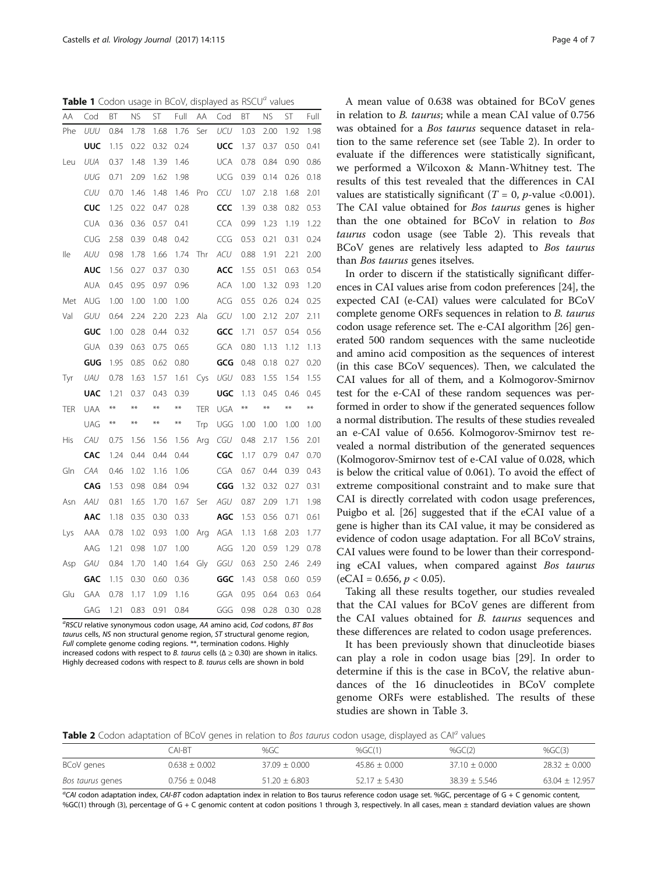<span id="page-3-0"></span>**Table 1** Codon usage in BCoV, displayed as  $RSCU<sup>a</sup>$  values

| AΑ  | Cod        | ВT    | NS.   | ST    | Full  | ΑA         | Cod        | ВT    | ΝS    | ST    | Full  |
|-----|------------|-------|-------|-------|-------|------------|------------|-------|-------|-------|-------|
| Phe | UUU        | 0.84  | 1.78  | 1.68  | 1.76  | Ser        | UCU        | 1.03  | 2.00  | 1.92  | 1.98  |
|     | UUC        | 1.15  | 0.22  | 0.32  | 0.24  |            | UCC        | 1.37  | 0.37  | 0.50  | 0.41  |
| Leu | UUA        | 0.37  | 1.48  | 1.39  | 1.46  |            | <b>UCA</b> | 0.78  | 0.84  | 0.90  | 0.86  |
|     | UUG        | 0.71  | 2.09  | 1.62  | 1.98  |            | UCG        | 0.39  | 0.14  | 0.26  | 0.18  |
|     | CUU        | 0.70  | 1.46  | 1.48  | 1.46  | Pro        | CCU        | 1.07  | 2.18  | 1.68  | 2.01  |
|     | CUC        | 1.25  | 0.22  | 0.47  | 0.28  |            | CCC        | 1.39  | 0.38  | 0.82  | 0.53  |
|     | CUA        | 0.36  | 0.36  | 0.57  | 0.41  |            | CCA        | 0.99  | 1.23  | 1.19  | 1.22  |
|     | CUG        | 2.58  | 0.39  | 0.48  | 0.42  |            | CCG        | 0.53  | 0.21  | 0.31  | 0.24  |
| lle | AUU        | 0.98  | 1.78  | 1.66  | 1.74  | Thr        | ACU        | 0.88  | 1.91  | 2.21  | 2.00  |
|     | AUC        | 1.56  | 0.27  | 0.37  | 0.30  |            | ACC        | 1.55  | 0.51  | 0.63  | 0.54  |
|     | aua        | 0.45  | 0.95  | 0.97  | 0.96  |            | ACA        | 1.00  | 1.32  | 0.93  | 1.20  |
| Met | AUG        | 1.00  | 1.00  | 1.00  | 1.00  |            | ACG        | 0.55  | 0.26  | 0.24  | 0.25  |
| Val | GUU        | 0.64  | 2.24  | 2.20  | 2.23  | Ala        | GCU        | 1.00  | 2.12  | 2.07  | 2.11  |
|     | GUC        | 1.00  | 0.28  | 0.44  | 0.32  |            | GCC        | 1.71  | 0.57  | 0.54  | 0.56  |
|     | GUA        | 0.39  | 0.63  | 0.75  | 0.65  |            | gca        | 0.80  | 1.13  | 1.12  | 1.13  |
|     | GUG        | 1.95  | 0.85  | 0.62  | 0.80  |            | GCG        | 0.48  | 0.18  | 0.27  | 0.20  |
| Tyr | <b>UAU</b> | 0.78  | 1.63  | 1.57  | 1.61  | Cys        | UGU        | 0.83  | 1.55  | 1.54  | 1.55  |
|     | <b>UAC</b> | 1.21  | 0.37  | 0.43  | 0.39  |            | UGC        | 1.13  | 0.45  | 0.46  | 0.45  |
| TER | UAA        | $***$ | $**$  | $***$ | $***$ | <b>TER</b> | UGA        | $***$ | $***$ | $***$ | $***$ |
|     | <b>UAG</b> | $***$ | $***$ | $***$ | $***$ | Trp        | UGG        | 1.00  | 1.00  | 1.00  | 1.00  |
| His | CAU        | 0.75  | 1.56  | 1.56  | 1.56  | Arg        | CGU        | 0.48  | 2.17  | 1.56  | 2.01  |
|     | CAC        | 1.24  | 0.44  | 0.44  | 0.44  |            | CGC        | 1.17  | 0.79  | 0.47  | 0.70  |
| Gln | CAA        | 0.46  | 1.02  | 1.16  | 1.06  |            | CGA        | 0.67  | 0.44  | 0.39  | 0.43  |
|     | CAG        | 1.53  | 0.98  | 0.84  | 0.94  |            | CGG        | 1.32  | 0.32  | 0.27  | 0.31  |
| Asn | AAU        | 0.81  | 1.65  | 1.70  | 1.67  | Ser        | AGU        | 0.87  | 2.09  | 1.71  | 1.98  |
|     | AAC        | 1.18  | 0.35  | 0.30  | 0.33  |            | AGC        | 1.53  | 0.56  | 0.71  | 0.61  |
| Lys | AAA        | 0.78  | 1.02  | 0.93  | 1.00  | Arg        | AGA        | 1.13  | 1.68  | 2.03  | 1.77  |
|     | AAG        | 1.21  | 0.98  | 1.07  | 1.00  |            | AGG        | 1.20  | 0.59  | 1.29  | 0.78  |
| Asp | GAU        | 0.84  | 1.70  | 1.40  | 1.64  | Gly        | GGU        | 0.63  | 2.50  | 2.46  | 2.49  |
|     | GAC        | 1.15  | 0.30  | 0.60  | 0.36  |            | GGC        | 1.43  | 0.58  | 0.60  | 0.59  |
| Glu | GAA        | 0.78  | 1.17  | 1.09  | 1.16  |            | GGA        | 0.95  | 0.64  | 0.63  | 0.64  |
|     | GAG        | 1.21  | 0.83  | 0.91  | 0.84  |            | GGG        | 0.98  | 0.28  | 0.30  | 0.28  |

<sup>a</sup>RSCU relative synonymous codon usage, AA amino acid, Cod codons, BT Bos taurus cells, NS non structural genome region, ST structural genome region, Full complete genome coding regions. \*\*, termination codons. Highly increased codons with respect to B. taurus cells ( $\Delta \ge 0.30$ ) are shown in italics. Highly decreased codons with respect to B. taurus cells are shown in bold

A mean value of 0.638 was obtained for BCoV genes in relation to B. taurus; while a mean CAI value of 0.756 was obtained for a Bos taurus sequence dataset in relation to the same reference set (see Table 2). In order to evaluate if the differences were statistically significant, we performed a Wilcoxon & Mann-Whitney test. The results of this test revealed that the differences in CAI values are statistically significant ( $T = 0$ , p-value <0.001). The CAI value obtained for Bos taurus genes is higher than the one obtained for BCoV in relation to Bos taurus codon usage (see Table 2). This reveals that BCoV genes are relatively less adapted to Bos taurus than Bos taurus genes itselves.

In order to discern if the statistically significant differences in CAI values arise from codon preferences [\[24](#page-6-0)], the expected CAI (e-CAI) values were calculated for BCoV complete genome ORFs sequences in relation to B. taurus codon usage reference set. The e-CAI algorithm [\[26\]](#page-6-0) generated 500 random sequences with the same nucleotide and amino acid composition as the sequences of interest (in this case BCoV sequences). Then, we calculated the CAI values for all of them, and a Kolmogorov-Smirnov test for the e-CAI of these random sequences was performed in order to show if the generated sequences follow a normal distribution. The results of these studies revealed an e-CAI value of 0.656. Kolmogorov-Smirnov test revealed a normal distribution of the generated sequences (Kolmogorov-Smirnov test of e-CAI value of 0.028, which is below the critical value of 0.061). To avoid the effect of extreme compositional constraint and to make sure that CAI is directly correlated with codon usage preferences, Puigbo et al. [[26](#page-6-0)] suggested that if the eCAI value of a gene is higher than its CAI value, it may be considered as evidence of codon usage adaptation. For all BCoV strains, CAI values were found to be lower than their corresponding eCAI values, when compared against Bos taurus  $(eCAI = 0.656, p < 0.05).$ 

Taking all these results together, our studies revealed that the CAI values for BCoV genes are different from the CAI values obtained for B. taurus sequences and these differences are related to codon usage preferences.

It has been previously shown that dinucleotide biases can play a role in codon usage bias [[29\]](#page-6-0). In order to determine if this is the case in BCoV, the relative abundances of the 16 dinucleotides in BCoV complete genome ORFs were established. The results of these studies are shown in Table [3.](#page-4-0)

**Table 2** Codon adaptation of BCoV genes in relation to *Bos taurus* codon usage, displayed as CAI<sup>a</sup> values

|                  | CAI-RT          | %GC               | % $GCl1$        | % $GCl2$        | % $GC(3)$         |
|------------------|-----------------|-------------------|-----------------|-----------------|-------------------|
| BCoV genes       | $0.638 + 0.002$ | $37.09 + 0.000$   | $45.86 + 0.000$ | $37.10 + 0.000$ | $28.32 \pm 0.000$ |
| Bos taurus genes | $0.756 + 0.048$ | $51.20 \pm 6.803$ | $52.17 + 5.430$ | $38.39 + 5.546$ | $63.04 + 12.957$  |

<sup>a</sup>CAI codon adaptation index, CAI-BT codon adaptation index in relation to Bos taurus reference codon usage set. %GC, percentage of G + C genomic content, %GC(1) through (3), percentage of G + C genomic content at codon positions 1 through 3, respectively. In all cases, mean ± standard deviation values are shown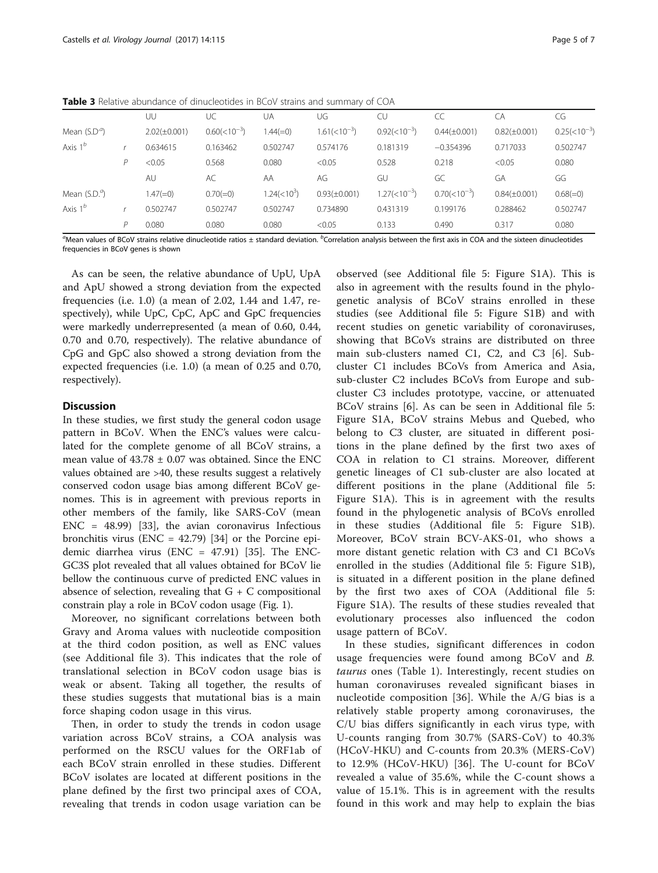<span id="page-4-0"></span>Table 3 Relative abundance of dinucleotides in BCoV strains and summary of COA

|                        |   | UU                | UC               | UA                 | UG                    | CU                    | CC                | CA                | CG               |
|------------------------|---|-------------------|------------------|--------------------|-----------------------|-----------------------|-------------------|-------------------|------------------|
| Mean $(S.Da)$          |   | $2.02(\pm 0.001)$ | $0.60(<10^{-3})$ | $1.44(=0)$         | $1.61 \times 10^{-3}$ | $0.92(<10^{-3})$      | $0.44(\pm 0.001)$ | $0.82(\pm 0.001)$ | $0.25(<10^{-3})$ |
| Axis $1^b$             |   | 0.634615          | 0.163462         | 0.502747           | 0.574176              | 0.181319              | $-0.354396$       | 0.717033          | 0.502747         |
|                        |   | < 0.05            | 0.568            | 0.080              | < 0.05                | 0.528                 | 0.218             | < 0.05            | 0.080            |
|                        |   | AU                | AC               | AA                 | AG                    | GU                    | GC                | GA                | GG               |
| Mean $(S.D.^{\alpha})$ |   | $1.47(=0)$        | $0.70(=0)$       | $1.24 \times 10^3$ | $0.93(\pm 0.001)$     | $1.27 \times 10^{-3}$ | $0.70(<10^{-3})$  | $0.84(\pm 0.001)$ | $0.68(=0)$       |
| Axis $1^b$             |   | 0.502747          | 0.502747         | 0.502747           | 0.734890              | 0.431319              | 0.199176          | 0.288462          | 0.502747         |
|                        | D | 0.080             | 0.080            | 0.080              | < 0.05                | 0.133                 | 0.490             | 0.317             | 0.080            |

 $^a$ Mean values of BCoV strains relative dinucleotide ratios  $\pm$  standard deviation. <sup>b</sup>Correlation analysis between the first axis in COA and the sixteen dinucleotides frequencies in BCoV genes is shown

As can be seen, the relative abundance of UpU, UpA and ApU showed a strong deviation from the expected frequencies (i.e. 1.0) (a mean of 2.02, 1.44 and 1.47, respectively), while UpC, CpC, ApC and GpC frequencies were markedly underrepresented (a mean of 0.60, 0.44, 0.70 and 0.70, respectively). The relative abundance of CpG and GpC also showed a strong deviation from the expected frequencies (i.e. 1.0) (a mean of 0.25 and 0.70, respectively).

## **Discussion**

In these studies, we first study the general codon usage pattern in BCoV. When the ENC's values were calculated for the complete genome of all BCoV strains, a mean value of  $43.78 \pm 0.07$  was obtained. Since the ENC values obtained are >40, these results suggest a relatively conserved codon usage bias among different BCoV genomes. This is in agreement with previous reports in other members of the family, like SARS-CoV (mean ENC = 48.99) [[33](#page-6-0)], the avian coronavirus Infectious bronchitis virus (ENC =  $42.79$ ) [[34](#page-6-0)] or the Porcine epidemic diarrhea virus (ENC = 47.91) [[35\]](#page-6-0). The ENC-GC3S plot revealed that all values obtained for BCoV lie bellow the continuous curve of predicted ENC values in absence of selection, revealing that  $G + C$  compositional constrain play a role in BCoV codon usage (Fig. [1](#page-2-0)).

Moreover, no significant correlations between both Gravy and Aroma values with nucleotide composition at the third codon position, as well as ENC values (see Additional file [3](#page-5-0)). This indicates that the role of translational selection in BCoV codon usage bias is weak or absent. Taking all together, the results of these studies suggests that mutational bias is a main force shaping codon usage in this virus.

Then, in order to study the trends in codon usage variation across BCoV strains, a COA analysis was performed on the RSCU values for the ORF1ab of each BCoV strain enrolled in these studies. Different BCoV isolates are located at different positions in the plane defined by the first two principal axes of COA, revealing that trends in codon usage variation can be

observed (see Additional file [5](#page-5-0): Figure S1A). This is also in agreement with the results found in the phylogenetic analysis of BCoV strains enrolled in these studies (see Additional file [5](#page-5-0): Figure S1B) and with recent studies on genetic variability of coronaviruses, showing that BCoVs strains are distributed on three main sub-clusters named C1, C2, and C3 [[6\]](#page-5-0). Subcluster C1 includes BCoVs from America and Asia, sub-cluster C2 includes BCoVs from Europe and subcluster C3 includes prototype, vaccine, or attenuated BCoV strains [[6](#page-5-0)]. As can be seen in Additional file [5](#page-5-0): Figure S1A, BCoV strains Mebus and Quebed, who belong to C3 cluster, are situated in different positions in the plane defined by the first two axes of COA in relation to C1 strains. Moreover, different genetic lineages of C1 sub-cluster are also located at different positions in the plane (Additional file [5](#page-5-0): Figure S1A). This is in agreement with the results found in the phylogenetic analysis of BCoVs enrolled in these studies (Additional file [5](#page-5-0): Figure S1B). Moreover, BCoV strain BCV-AKS-01, who shows a more distant genetic relation with C3 and C1 BCoVs enrolled in the studies (Additional file [5:](#page-5-0) Figure S1B), is situated in a different position in the plane defined by the first two axes of COA (Additional file [5](#page-5-0): Figure S1A). The results of these studies revealed that evolutionary processes also influenced the codon usage pattern of BCoV.

In these studies, significant differences in codon usage frequencies were found among BCoV and B. taurus ones (Table [1\)](#page-3-0). Interestingly, recent studies on human coronaviruses revealed significant biases in nucleotide composition [[36\]](#page-6-0). While the A/G bias is a relatively stable property among coronaviruses, the C/U bias differs significantly in each virus type, with U-counts ranging from 30.7% (SARS-CoV) to 40.3% (HCoV-HKU) and C-counts from 20.3% (MERS-CoV) to 12.9% (HCoV-HKU) [\[36](#page-6-0)]. The U-count for BCoV revealed a value of 35.6%, while the C-count shows a value of 15.1%. This is in agreement with the results found in this work and may help to explain the bias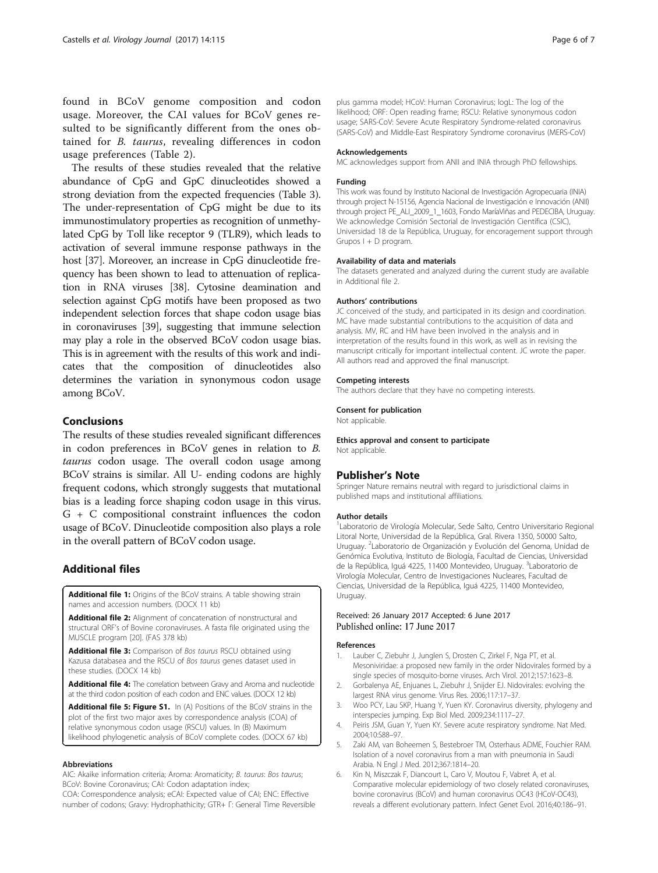<span id="page-5-0"></span>found in BCoV genome composition and codon usage. Moreover, the CAI values for BCoV genes resulted to be significantly different from the ones obtained for B. taurus, revealing differences in codon usage preferences (Table [2](#page-3-0)).

The results of these studies revealed that the relative abundance of CpG and GpC dinucleotides showed a strong deviation from the expected frequencies (Table [3](#page-4-0)). The under-representation of CpG might be due to its immunostimulatory properties as recognition of unmethylated CpG by Toll like receptor 9 (TLR9), which leads to activation of several immune response pathways in the host [\[37\]](#page-6-0). Moreover, an increase in CpG dinucleotide frequency has been shown to lead to attenuation of replication in RNA viruses [[38](#page-6-0)]. Cytosine deamination and selection against CpG motifs have been proposed as two independent selection forces that shape codon usage bias in coronaviruses [[39](#page-6-0)], suggesting that immune selection may play a role in the observed BCoV codon usage bias. This is in agreement with the results of this work and indicates that the composition of dinucleotides also determines the variation in synonymous codon usage among BCoV.

## Conclusions

The results of these studies revealed significant differences in codon preferences in BCoV genes in relation to B. taurus codon usage. The overall codon usage among BCoV strains is similar. All U- ending codons are highly frequent codons, which strongly suggests that mutational bias is a leading force shaping codon usage in this virus. G + C compositional constraint influences the codon usage of BCoV. Dinucleotide composition also plays a role in the overall pattern of BCoV codon usage.

## Additional files

[Additional file 1:](dx.doi.org/10.1186/s12985-017-0780-y) Origins of the BCoV strains. A table showing strain names and accession numbers. (DOCX 11 kb)

[Additional file 2:](dx.doi.org/10.1186/s12985-017-0780-y) Alignment of concatenation of nonstructural and structural ORF's of Bovine coronaviruses. A fasta file originated using the MUSCLE program [\[20](#page-6-0)]. (FAS 378 kb)

[Additional file 3:](dx.doi.org/10.1186/s12985-017-0780-y) Comparison of Bos taurus RSCU obtained using Kazusa databasea and the RSCU of Bos taurus genes dataset used in these studies. (DOCX 14 kb)

[Additional file 4:](dx.doi.org/10.1186/s12985-017-0780-y) The correlation between Gravy and Aroma and nucleotide at the third codon position of each codon and ENC values. (DOCX 12 kb)

[Additional file 5: Figure S1.](dx.doi.org/10.1186/s12985-017-0780-y) In (A) Positions of the BCoV strains in the plot of the first two major axes by correspondence analysis (COA) of relative synonymous codon usage (RSCU) values. In (B) Maximum likelihood phylogenetic analysis of BCoV complete codes. (DOCX 67 kb)

#### Abbreviations

AIC: Akaike information criteria; Aroma: Aromaticity; B. taurus: Bos taurus; BCoV: Bovine Coronavirus; CAI: Codon adaptation index; COA: Correspondence analysis; eCAI: Expected value of CAI; ENC: Effective

number of codons; Gravy: Hydrophathicity; GTR+ Γ: General Time Reversible

plus gamma model; HCoV: Human Coronavirus; logL: The log of the likelihood; ORF: Open reading frame; RSCU: Relative synonymous codon usage; SARS-CoV: Severe Acute Respiratory Syndrome-related coronavirus (SARS-CoV) and Middle-East Respiratory Syndrome coronavirus (MERS-CoV)

#### Acknowledgements

MC acknowledges support from ANII and INIA through PhD fellowships.

#### Funding

This work was found by Instituto Nacional de Investigación Agropecuaria (INIA) through project N-15156, Agencia Nacional de Investigación e Innovación (ANII) through project PE\_ALI\_2009\_1\_1603, Fondo MaríaViñas and PEDECIBA, Uruguay. We acknowledge Comisión Sectorial de Investigación Científica (CSIC), Universidad 18 de la República, Uruguay, for encoragement support through Grupos I + D program.

#### Availability of data and materials

The datasets generated and analyzed during the current study are available in Additional file 2.

#### Authors' contributions

JC conceived of the study, and participated in its design and coordination. MC have made substantial contributions to the acquisition of data and analysis. MV, RC and HM have been involved in the analysis and in interpretation of the results found in this work, as well as in revising the manuscript critically for important intellectual content. JC wrote the paper. All authors read and approved the final manuscript.

#### Competing interests

The authors declare that they have no competing interests.

#### Consent for publication

Not applicable.

Ethics approval and consent to participate Not applicable.

#### Publisher's Note

Springer Nature remains neutral with regard to jurisdictional claims in published maps and institutional affiliations.

#### Author details

<sup>1</sup> Laboratorio de Virología Molecular, Sede Salto, Centro Universitario Regional Litoral Norte, Universidad de la República, Gral. Rivera 1350, 50000 Salto, Uruguay. <sup>2</sup> Laboratorio de Organización y Evolución del Genoma, Unidad de Genómica Evolutiva, Instituto de Biología, Facultad de Ciencias, Universidad de la República, Iguá 4225, 11400 Montevideo, Uruguay. <sup>3</sup>Laboratorio de Virología Molecular, Centro de Investigaciones Nucleares, Facultad de Ciencias, Universidad de la República, Iguá 4225, 11400 Montevideo, Uruguay.

#### Received: 26 January 2017 Accepted: 6 June 2017 Published online: 17 June 2017

#### References

- 1. Lauber C, Ziebuhr J, Junglen S, Drosten C, Zirkel F, Nga PT, et al. Mesoniviridae: a proposed new family in the order Nidovirales formed by a single species of mosquito-borne viruses. Arch Virol. 2012;157:1623–8.
- 2. Gorbalenya AE, Enjuanes L, Ziebuhr J, Snijder EJ. Nidovirales: evolving the largest RNA virus genome. Virus Res. 2006;117:17–37.
- 3. Woo PCY, Lau SKP, Huang Y, Yuen KY. Coronavirus diversity, phylogeny and interspecies jumping. Exp Biol Med. 2009;234:1117–27.
- 4. Peiris JSM, Guan Y, Yuen KY. Severe acute respiratory syndrome. Nat Med. 2004;10:S88–97.
- 5. Zaki AM, van Boheemen S, Bestebroer TM, Osterhaus ADME, Fouchier RAM. Isolation of a novel coronavirus from a man with pneumonia in Saudi Arabia. N Engl J Med. 2012;367:1814–20.
- 6. Kin N, Miszczak F, Diancourt L, Caro V, Moutou F, Vabret A, et al. Comparative molecular epidemiology of two closely related coronaviruses, bovine coronavirus (BCoV) and human coronavirus OC43 (HCoV-OC43), reveals a different evolutionary pattern. Infect Genet Evol. 2016;40:186–91.